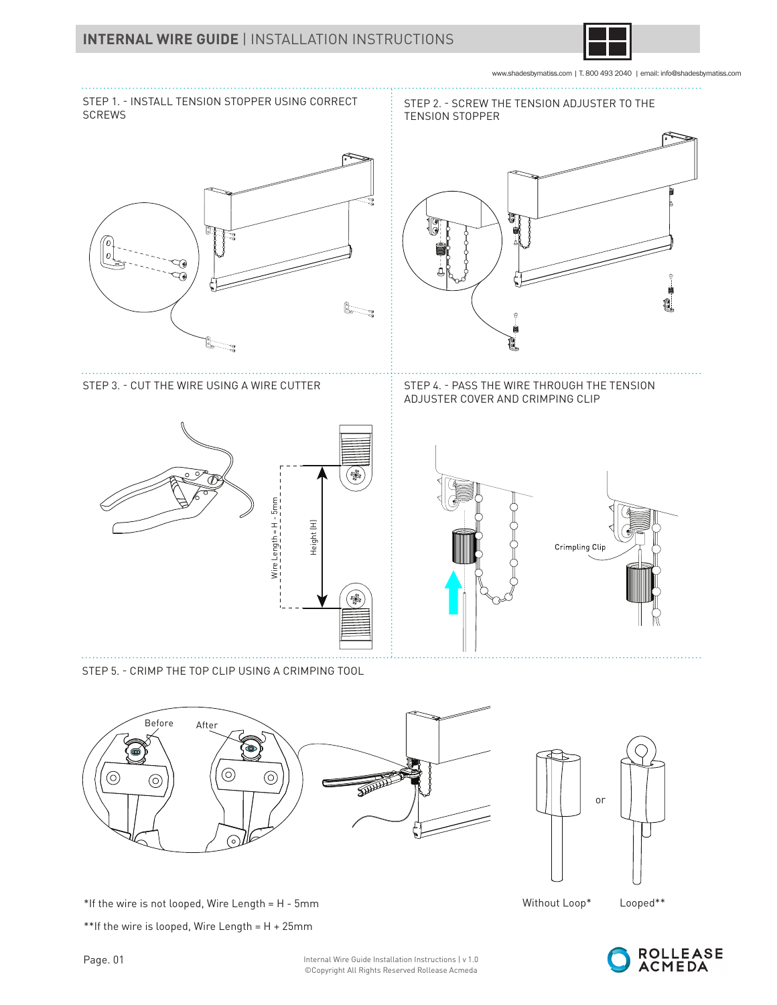

www.shadesbymatiss.com | T. 800 493 2040 | email: info@shadesbymatiss.com



©Copyright All Rights Reserved Rollease Acmeda

\*If the wire is not looped, Wire Length = H - 5mm Looped\*\*



or

Without Loop\*

⊚

ତ

\*\*If the wire is looped, Wire Length =  $H + 25$ mm

 $_{\odot}$ 

ര

⊙